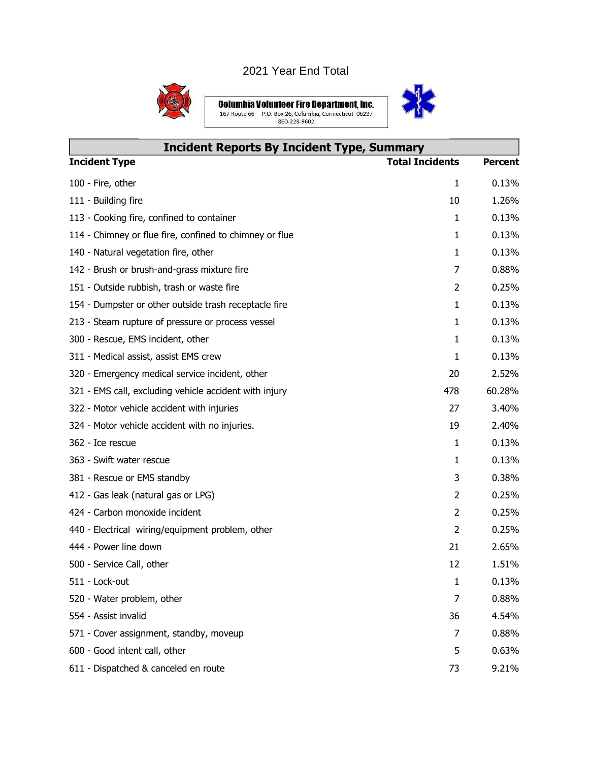## 2021 Year End Total



**Columbia Volunteer Fire Department, Inc.**<br>167 Route 66 P.O. Box 26, Columbia, Connecticut 06237<br>860-228-9602



| <b>Incident Reports By Incident Type, Summary</b>       |                        |                |  |
|---------------------------------------------------------|------------------------|----------------|--|
| <b>Incident Type</b>                                    | <b>Total Incidents</b> | <b>Percent</b> |  |
| 100 - Fire, other                                       | 1                      | 0.13%          |  |
| 111 - Building fire                                     | 10                     | 1.26%          |  |
| 113 - Cooking fire, confined to container               | $\mathbf{1}$           | 0.13%          |  |
| 114 - Chimney or flue fire, confined to chimney or flue | $\mathbf{1}$           | 0.13%          |  |
| 140 - Natural vegetation fire, other                    | 1                      | 0.13%          |  |
| 142 - Brush or brush-and-grass mixture fire             | 7                      | 0.88%          |  |
| 151 - Outside rubbish, trash or waste fire              | 2                      | 0.25%          |  |
| 154 - Dumpster or other outside trash receptacle fire   | 1                      | 0.13%          |  |
| 213 - Steam rupture of pressure or process vessel       | $\mathbf{1}$           | 0.13%          |  |
| 300 - Rescue, EMS incident, other                       | $\mathbf{1}$           | 0.13%          |  |
| 311 - Medical assist, assist EMS crew                   | $\mathbf{1}$           | 0.13%          |  |
| 320 - Emergency medical service incident, other         | 20                     | 2.52%          |  |
| 321 - EMS call, excluding vehicle accident with injury  | 478                    | 60.28%         |  |
| 322 - Motor vehicle accident with injuries              | 27                     | 3.40%          |  |
| 324 - Motor vehicle accident with no injuries.          | 19                     | 2.40%          |  |
| 362 - Ice rescue                                        | $\mathbf{1}$           | 0.13%          |  |
| 363 - Swift water rescue                                | $\mathbf{1}$           | 0.13%          |  |
| 381 - Rescue or EMS standby                             | 3                      | 0.38%          |  |
| 412 - Gas leak (natural gas or LPG)                     | 2                      | 0.25%          |  |
| 424 - Carbon monoxide incident                          | 2                      | 0.25%          |  |
| 440 - Electrical wiring/equipment problem, other        | $\overline{2}$         | 0.25%          |  |
| 444 - Power line down                                   | 21                     | 2.65%          |  |
| 500 - Service Call, other                               | 12                     | 1.51%          |  |
| 511 - Lock-out                                          | $\mathbf{1}$           | 0.13%          |  |
| 520 - Water problem, other                              | 7                      | 0.88%          |  |
| 554 - Assist invalid                                    | 36                     | 4.54%          |  |
| 571 - Cover assignment, standby, moveup                 | 7                      | 0.88%          |  |
| 600 - Good intent call, other                           | 5                      | 0.63%          |  |
| 611 - Dispatched & canceled en route                    | 73                     | 9.21%          |  |